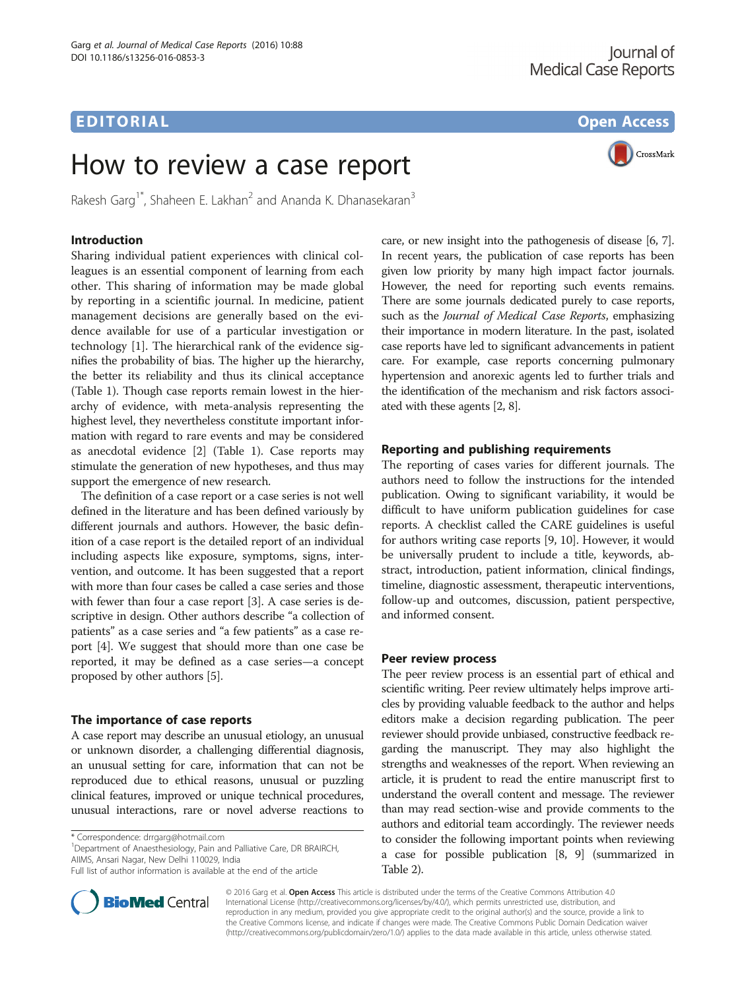## EDITORIAL AND INTERNATIONAL CONTRACT CONTRACT CONTRACT CONTRACT CONTRACT CONTRACT CONTRACT CONTRACT CONTRACT CO

# How to review a case report

Rakesh Garg<sup>1\*</sup>, Shaheen E. Lakhan<sup>2</sup> and Ananda K. Dhanasekaran<sup>3</sup>

Sharing individual patient experiences with clinical colleagues is an essential component of learning from each other. This sharing of information may be made global by reporting in a scientific journal. In medicine, patient management decisions are generally based on the evidence available for use of a particular investigation or technology [[1\]](#page-4-0). The hierarchical rank of the evidence signifies the probability of bias. The higher up the hierarchy, the better its reliability and thus its clinical acceptance (Table [1\)](#page-1-0). Though case reports remain lowest in the hierarchy of evidence, with meta-analysis representing the highest level, they nevertheless constitute important information with regard to rare events and may be considered as anecdotal evidence [[2\]](#page-4-0) (Table [1](#page-1-0)). Case reports may stimulate the generation of new hypotheses, and thus may support the emergence of new research.

The definition of a case report or a case series is not well defined in the literature and has been defined variously by different journals and authors. However, the basic definition of a case report is the detailed report of an individual including aspects like exposure, symptoms, signs, intervention, and outcome. It has been suggested that a report with more than four cases be called a case series and those with fewer than four a case report [[3](#page-4-0)]. A case series is descriptive in design. Other authors describe "a collection of patients" as a case series and "a few patients" as a case report [\[4](#page-4-0)]. We suggest that should more than one case be reported, it may be defined as a case series—a concept proposed by other authors [\[5\]](#page-4-0).

## The importance of case reports

A case report may describe an unusual etiology, an unusual or unknown disorder, a challenging differential diagnosis, an unusual setting for care, information that can not be reproduced due to ethical reasons, unusual or puzzling clinical features, improved or unique technical procedures, unusual interactions, rare or novel adverse reactions to

\* Correspondence: [drrgarg@hotmail.com](mailto:drrgarg@hotmail.com) <sup>1</sup>

<sup>1</sup>Department of Anaesthesiology, Pain and Palliative Care, DR BRAIRCH, AIIMS, Ansari Nagar, New Delhi 110029, India

care, or new insight into the pathogenesis of disease [[6, 7](#page-4-0)]. In recent years, the publication of case reports has been given low priority by many high impact factor journals. However, the need for reporting such events remains. There are some journals dedicated purely to case reports, such as the *Journal of Medical Case Reports*, emphasizing their importance in modern literature. In the past, isolated case reports have led to significant advancements in patient care. For example, case reports concerning pulmonary hypertension and anorexic agents led to further trials and the identification of the mechanism and risk factors associated with these agents [[2](#page-4-0), [8\]](#page-4-0).

## Reporting and publishing requirements

The reporting of cases varies for different journals. The authors need to follow the instructions for the intended publication. Owing to significant variability, it would be difficult to have uniform publication guidelines for case reports. A checklist called the CARE guidelines is useful for authors writing case reports [[9](#page-4-0), [10](#page-4-0)]. However, it would be universally prudent to include a title, keywords, abstract, introduction, patient information, clinical findings, timeline, diagnostic assessment, therapeutic interventions, follow-up and outcomes, discussion, patient perspective, and informed consent.

#### Peer review process

The peer review process is an essential part of ethical and scientific writing. Peer review ultimately helps improve articles by providing valuable feedback to the author and helps editors make a decision regarding publication. The peer reviewer should provide unbiased, constructive feedback regarding the manuscript. They may also highlight the strengths and weaknesses of the report. When reviewing an article, it is prudent to read the entire manuscript first to understand the overall content and message. The reviewer than may read section-wise and provide comments to the authors and editorial team accordingly. The reviewer needs to consider the following important points when reviewing a case for possible publication [\[8, 9\]](#page-4-0) (summarized in Table [2](#page-1-0)).

© 2016 Garg et al. Open Access This article is distributed under the terms of the Creative Commons Attribution 4.0 International License [\(http://creativecommons.org/licenses/by/4.0/](http://creativecommons.org/licenses/by/4.0/)), which permits unrestricted use, distribution, and reproduction in any medium, provided you give appropriate credit to the original author(s) and the source, provide a link to the Creative Commons license, and indicate if changes were made. The Creative Commons Public Domain Dedication waiver [\(http://creativecommons.org/publicdomain/zero/1.0/](http://creativecommons.org/publicdomain/zero/1.0/)) applies to the data made available in this article, unless otherwise stated.





Full list of author information is available at the end of the article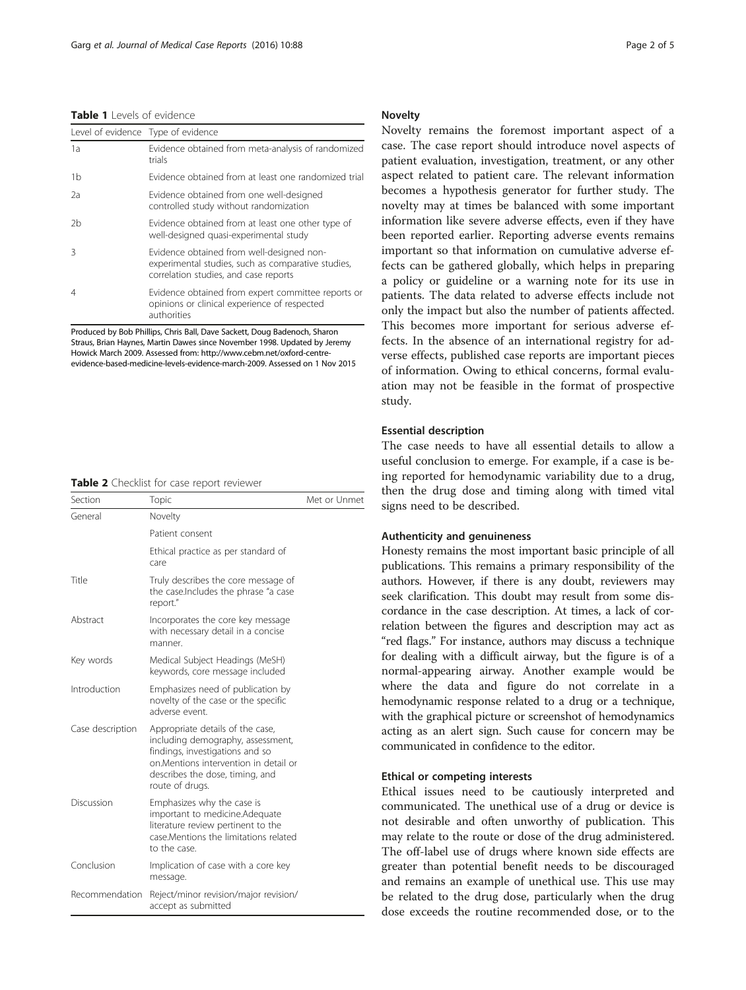#### <span id="page-1-0"></span>Table 1 Levels of evidence

| Level of evidence Type of evidence |                                                                                                                                          |
|------------------------------------|------------------------------------------------------------------------------------------------------------------------------------------|
| 1a                                 | Evidence obtained from meta-analysis of randomized<br>trials                                                                             |
| 1b                                 | Evidence obtained from at least one randomized trial                                                                                     |
| 2a                                 | Evidence obtained from one well-designed<br>controlled study without randomization                                                       |
| 2b                                 | Evidence obtained from at least one other type of<br>well-designed quasi-experimental study                                              |
| ζ                                  | Evidence obtained from well-designed non-<br>experimental studies, such as comparative studies,<br>correlation studies, and case reports |
| 4                                  | Evidence obtained from expert committee reports or<br>opinions or clinical experience of respected<br>authorities                        |

Produced by Bob Phillips, Chris Ball, Dave Sackett, Doug Badenoch, Sharon Straus, Brian Haynes, Martin Dawes since November 1998. Updated by Jeremy Howick March 2009. Assessed from: http://www.cebm.net/oxford-centreevidence-based-medicine-levels-evidence-march-2009. Assessed on 1 Nov 2015

|  | Table 2 Checklist for case report reviewer |  |  |  |  |
|--|--------------------------------------------|--|--|--|--|
|--|--------------------------------------------|--|--|--|--|

| Section          | Topic                                                                                                                                                                                                    | Met or Unmet |
|------------------|----------------------------------------------------------------------------------------------------------------------------------------------------------------------------------------------------------|--------------|
| General          | Novelty                                                                                                                                                                                                  |              |
|                  | Patient consent                                                                                                                                                                                          |              |
|                  | Ethical practice as per standard of<br>care                                                                                                                                                              |              |
| Title            | Truly describes the core message of<br>the case. Includes the phrase "a case<br>report."                                                                                                                 |              |
| Abstract         | Incorporates the core key message<br>with necessary detail in a concise<br>manner.                                                                                                                       |              |
| Key words        | Medical Subject Headings (MeSH)<br>keywords, core message included                                                                                                                                       |              |
| Introduction     | Emphasizes need of publication by<br>novelty of the case or the specific<br>adverse event.                                                                                                               |              |
| Case description | Appropriate details of the case,<br>including demography, assessment,<br>findings, investigations and so<br>on. Mentions intervention in detail or<br>describes the dose, timing, and<br>route of drugs. |              |
| Discussion       | Emphasizes why the case is<br>important to medicine.Adequate<br>literature review pertinent to the<br>case.Mentions the limitations related<br>to the case.                                              |              |
| Conclusion       | Implication of case with a core key<br>message.                                                                                                                                                          |              |
| Recommendation   | Reject/minor revision/major revision/<br>accept as submitted                                                                                                                                             |              |

### Novelty

Novelty remains the foremost important aspect of a case. The case report should introduce novel aspects of patient evaluation, investigation, treatment, or any other aspect related to patient care. The relevant information becomes a hypothesis generator for further study. The novelty may at times be balanced with some important information like severe adverse effects, even if they have been reported earlier. Reporting adverse events remains important so that information on cumulative adverse effects can be gathered globally, which helps in preparing a policy or guideline or a warning note for its use in patients. The data related to adverse effects include not only the impact but also the number of patients affected. This becomes more important for serious adverse effects. In the absence of an international registry for adverse effects, published case reports are important pieces of information. Owing to ethical concerns, formal evaluation may not be feasible in the format of prospective study.

## Essential description

The case needs to have all essential details to allow a useful conclusion to emerge. For example, if a case is being reported for hemodynamic variability due to a drug, then the drug dose and timing along with timed vital signs need to be described.

#### Authenticity and genuineness

Honesty remains the most important basic principle of all publications. This remains a primary responsibility of the authors. However, if there is any doubt, reviewers may seek clarification. This doubt may result from some discordance in the case description. At times, a lack of correlation between the figures and description may act as "red flags." For instance, authors may discuss a technique for dealing with a difficult airway, but the figure is of a normal-appearing airway. Another example would be where the data and figure do not correlate in a hemodynamic response related to a drug or a technique, with the graphical picture or screenshot of hemodynamics acting as an alert sign. Such cause for concern may be communicated in confidence to the editor.

## Ethical or competing interests

Ethical issues need to be cautiously interpreted and communicated. The unethical use of a drug or device is not desirable and often unworthy of publication. This may relate to the route or dose of the drug administered. The off-label use of drugs where known side effects are greater than potential benefit needs to be discouraged and remains an example of unethical use. This use may be related to the drug dose, particularly when the drug dose exceeds the routine recommended dose, or to the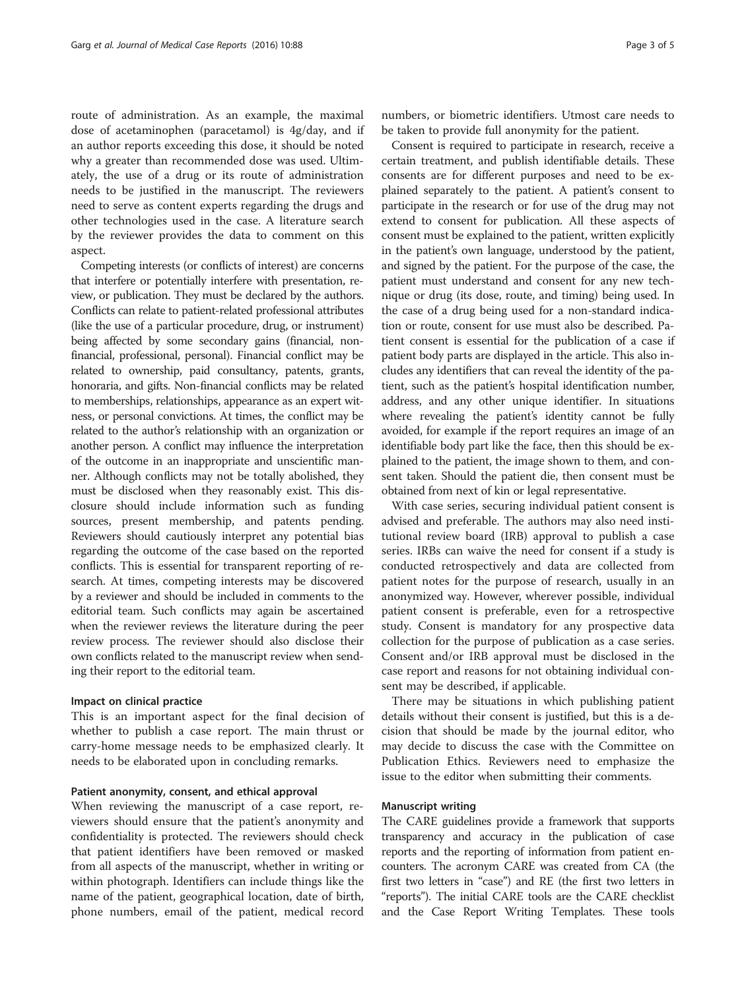route of administration. As an example, the maximal dose of acetaminophen (paracetamol) is 4g/day, and if an author reports exceeding this dose, it should be noted why a greater than recommended dose was used. Ultimately, the use of a drug or its route of administration needs to be justified in the manuscript. The reviewers need to serve as content experts regarding the drugs and other technologies used in the case. A literature search by the reviewer provides the data to comment on this aspect.

Competing interests (or conflicts of interest) are concerns that interfere or potentially interfere with presentation, review, or publication. They must be declared by the authors. Conflicts can relate to patient-related professional attributes (like the use of a particular procedure, drug, or instrument) being affected by some secondary gains (financial, nonfinancial, professional, personal). Financial conflict may be related to ownership, paid consultancy, patents, grants, honoraria, and gifts. Non-financial conflicts may be related to memberships, relationships, appearance as an expert witness, or personal convictions. At times, the conflict may be related to the author's relationship with an organization or another person. A conflict may influence the interpretation of the outcome in an inappropriate and unscientific manner. Although conflicts may not be totally abolished, they must be disclosed when they reasonably exist. This disclosure should include information such as funding sources, present membership, and patents pending. Reviewers should cautiously interpret any potential bias regarding the outcome of the case based on the reported conflicts. This is essential for transparent reporting of research. At times, competing interests may be discovered by a reviewer and should be included in comments to the editorial team. Such conflicts may again be ascertained when the reviewer reviews the literature during the peer review process. The reviewer should also disclose their own conflicts related to the manuscript review when sending their report to the editorial team.

#### Impact on clinical practice

This is an important aspect for the final decision of whether to publish a case report. The main thrust or carry-home message needs to be emphasized clearly. It needs to be elaborated upon in concluding remarks.

#### Patient anonymity, consent, and ethical approval

When reviewing the manuscript of a case report, reviewers should ensure that the patient's anonymity and confidentiality is protected. The reviewers should check that patient identifiers have been removed or masked from all aspects of the manuscript, whether in writing or within photograph. Identifiers can include things like the name of the patient, geographical location, date of birth, phone numbers, email of the patient, medical record

numbers, or biometric identifiers. Utmost care needs to be taken to provide full anonymity for the patient.

Consent is required to participate in research, receive a certain treatment, and publish identifiable details. These consents are for different purposes and need to be explained separately to the patient. A patient's consent to participate in the research or for use of the drug may not extend to consent for publication. All these aspects of consent must be explained to the patient, written explicitly in the patient's own language, understood by the patient, and signed by the patient. For the purpose of the case, the patient must understand and consent for any new technique or drug (its dose, route, and timing) being used. In the case of a drug being used for a non-standard indication or route, consent for use must also be described. Patient consent is essential for the publication of a case if patient body parts are displayed in the article. This also includes any identifiers that can reveal the identity of the patient, such as the patient's hospital identification number, address, and any other unique identifier. In situations where revealing the patient's identity cannot be fully avoided, for example if the report requires an image of an identifiable body part like the face, then this should be explained to the patient, the image shown to them, and consent taken. Should the patient die, then consent must be obtained from next of kin or legal representative.

With case series, securing individual patient consent is advised and preferable. The authors may also need institutional review board (IRB) approval to publish a case series. IRBs can waive the need for consent if a study is conducted retrospectively and data are collected from patient notes for the purpose of research, usually in an anonymized way. However, wherever possible, individual patient consent is preferable, even for a retrospective study. Consent is mandatory for any prospective data collection for the purpose of publication as a case series. Consent and/or IRB approval must be disclosed in the case report and reasons for not obtaining individual consent may be described, if applicable.

There may be situations in which publishing patient details without their consent is justified, but this is a decision that should be made by the journal editor, who may decide to discuss the case with the Committee on Publication Ethics. Reviewers need to emphasize the issue to the editor when submitting their comments.

#### Manuscript writing

The CARE guidelines provide a framework that supports transparency and accuracy in the publication of case reports and the reporting of information from patient encounters. The acronym CARE was created from CA (the first two letters in "case") and RE (the first two letters in "reports"). The initial CARE tools are the CARE checklist and the Case Report Writing Templates. These tools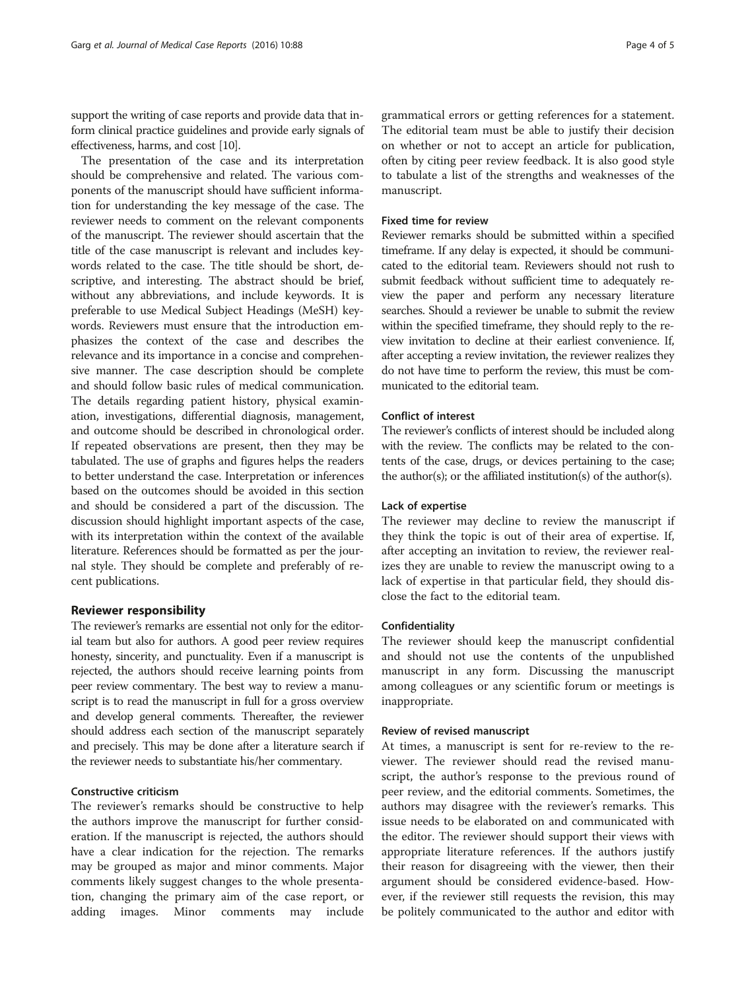support the writing of case reports and provide data that inform clinical practice guidelines and provide early signals of effectiveness, harms, and cost [[10](#page-4-0)].

The presentation of the case and its interpretation should be comprehensive and related. The various components of the manuscript should have sufficient information for understanding the key message of the case. The reviewer needs to comment on the relevant components of the manuscript. The reviewer should ascertain that the title of the case manuscript is relevant and includes keywords related to the case. The title should be short, descriptive, and interesting. The abstract should be brief, without any abbreviations, and include keywords. It is preferable to use Medical Subject Headings (MeSH) keywords. Reviewers must ensure that the introduction emphasizes the context of the case and describes the relevance and its importance in a concise and comprehensive manner. The case description should be complete and should follow basic rules of medical communication. The details regarding patient history, physical examination, investigations, differential diagnosis, management, and outcome should be described in chronological order. If repeated observations are present, then they may be tabulated. The use of graphs and figures helps the readers to better understand the case. Interpretation or inferences based on the outcomes should be avoided in this section and should be considered a part of the discussion. The discussion should highlight important aspects of the case, with its interpretation within the context of the available literature. References should be formatted as per the journal style. They should be complete and preferably of recent publications.

## Reviewer responsibility

The reviewer's remarks are essential not only for the editorial team but also for authors. A good peer review requires honesty, sincerity, and punctuality. Even if a manuscript is rejected, the authors should receive learning points from peer review commentary. The best way to review a manuscript is to read the manuscript in full for a gross overview and develop general comments. Thereafter, the reviewer should address each section of the manuscript separately and precisely. This may be done after a literature search if the reviewer needs to substantiate his/her commentary.

## Constructive criticism

The reviewer's remarks should be constructive to help the authors improve the manuscript for further consideration. If the manuscript is rejected, the authors should have a clear indication for the rejection. The remarks may be grouped as major and minor comments. Major comments likely suggest changes to the whole presentation, changing the primary aim of the case report, or adding images. Minor comments may include grammatical errors or getting references for a statement. The editorial team must be able to justify their decision on whether or not to accept an article for publication, often by citing peer review feedback. It is also good style to tabulate a list of the strengths and weaknesses of the manuscript.

#### Fixed time for review

Reviewer remarks should be submitted within a specified timeframe. If any delay is expected, it should be communicated to the editorial team. Reviewers should not rush to submit feedback without sufficient time to adequately review the paper and perform any necessary literature searches. Should a reviewer be unable to submit the review within the specified timeframe, they should reply to the review invitation to decline at their earliest convenience. If, after accepting a review invitation, the reviewer realizes they do not have time to perform the review, this must be communicated to the editorial team.

## Conflict of interest

The reviewer's conflicts of interest should be included along with the review. The conflicts may be related to the contents of the case, drugs, or devices pertaining to the case; the author(s); or the affiliated institution(s) of the author(s).

## Lack of expertise

The reviewer may decline to review the manuscript if they think the topic is out of their area of expertise. If, after accepting an invitation to review, the reviewer realizes they are unable to review the manuscript owing to a lack of expertise in that particular field, they should disclose the fact to the editorial team.

#### Confidentiality

The reviewer should keep the manuscript confidential and should not use the contents of the unpublished manuscript in any form. Discussing the manuscript among colleagues or any scientific forum or meetings is inappropriate.

#### Review of revised manuscript

At times, a manuscript is sent for re-review to the reviewer. The reviewer should read the revised manuscript, the author's response to the previous round of peer review, and the editorial comments. Sometimes, the authors may disagree with the reviewer's remarks. This issue needs to be elaborated on and communicated with the editor. The reviewer should support their views with appropriate literature references. If the authors justify their reason for disagreeing with the viewer, then their argument should be considered evidence-based. However, if the reviewer still requests the revision, this may be politely communicated to the author and editor with